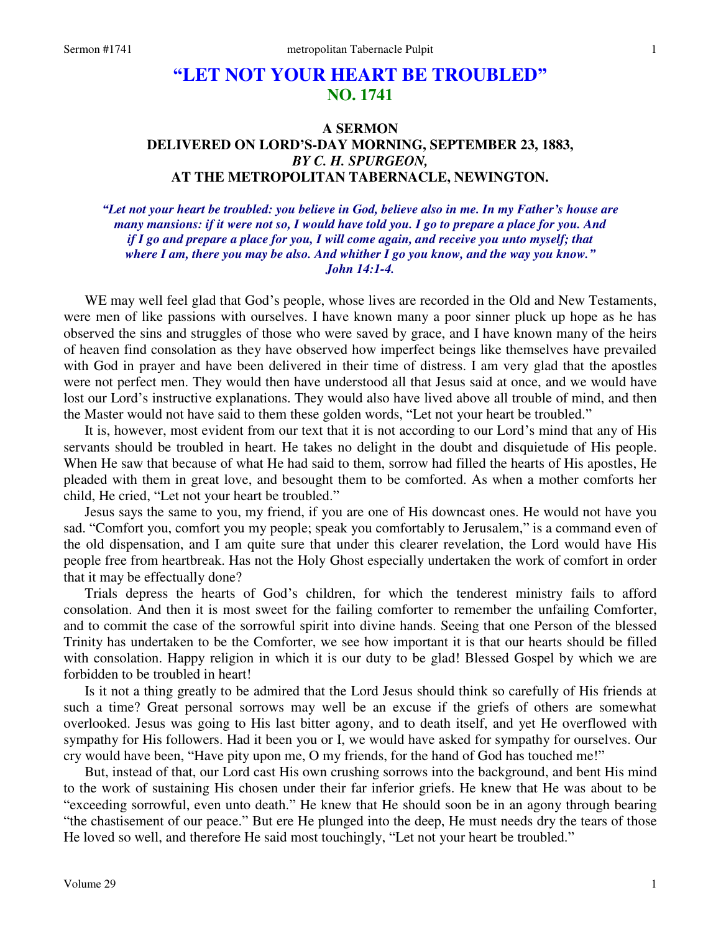## **"LET NOT YOUR HEART BE TROUBLED" NO. 1741**

## **A SERMON DELIVERED ON LORD'S-DAY MORNING, SEPTEMBER 23, 1883,**  *BY C. H. SPURGEON,*  **AT THE METROPOLITAN TABERNACLE, NEWINGTON.**

*"Let not your heart be troubled: you believe in God, believe also in me. In my Father's house are many mansions: if it were not so, I would have told you. I go to prepare a place for you. And if I go and prepare a place for you, I will come again, and receive you unto myself; that where I am, there you may be also. And whither I go you know, and the way you know." John 14:1-4.* 

WE may well feel glad that God's people, whose lives are recorded in the Old and New Testaments, were men of like passions with ourselves. I have known many a poor sinner pluck up hope as he has observed the sins and struggles of those who were saved by grace, and I have known many of the heirs of heaven find consolation as they have observed how imperfect beings like themselves have prevailed with God in prayer and have been delivered in their time of distress. I am very glad that the apostles were not perfect men. They would then have understood all that Jesus said at once, and we would have lost our Lord's instructive explanations. They would also have lived above all trouble of mind, and then the Master would not have said to them these golden words, "Let not your heart be troubled."

 It is, however, most evident from our text that it is not according to our Lord's mind that any of His servants should be troubled in heart. He takes no delight in the doubt and disquietude of His people. When He saw that because of what He had said to them, sorrow had filled the hearts of His apostles, He pleaded with them in great love, and besought them to be comforted. As when a mother comforts her child, He cried, "Let not your heart be troubled."

 Jesus says the same to you, my friend, if you are one of His downcast ones. He would not have you sad. "Comfort you, comfort you my people; speak you comfortably to Jerusalem," is a command even of the old dispensation, and I am quite sure that under this clearer revelation, the Lord would have His people free from heartbreak. Has not the Holy Ghost especially undertaken the work of comfort in order that it may be effectually done?

 Trials depress the hearts of God's children, for which the tenderest ministry fails to afford consolation. And then it is most sweet for the failing comforter to remember the unfailing Comforter, and to commit the case of the sorrowful spirit into divine hands. Seeing that one Person of the blessed Trinity has undertaken to be the Comforter, we see how important it is that our hearts should be filled with consolation. Happy religion in which it is our duty to be glad! Blessed Gospel by which we are forbidden to be troubled in heart!

 Is it not a thing greatly to be admired that the Lord Jesus should think so carefully of His friends at such a time? Great personal sorrows may well be an excuse if the griefs of others are somewhat overlooked. Jesus was going to His last bitter agony, and to death itself, and yet He overflowed with sympathy for His followers. Had it been you or I, we would have asked for sympathy for ourselves. Our cry would have been, "Have pity upon me, O my friends, for the hand of God has touched me!"

 But, instead of that, our Lord cast His own crushing sorrows into the background, and bent His mind to the work of sustaining His chosen under their far inferior griefs. He knew that He was about to be "exceeding sorrowful, even unto death." He knew that He should soon be in an agony through bearing "the chastisement of our peace." But ere He plunged into the deep, He must needs dry the tears of those He loved so well, and therefore He said most touchingly, "Let not your heart be troubled."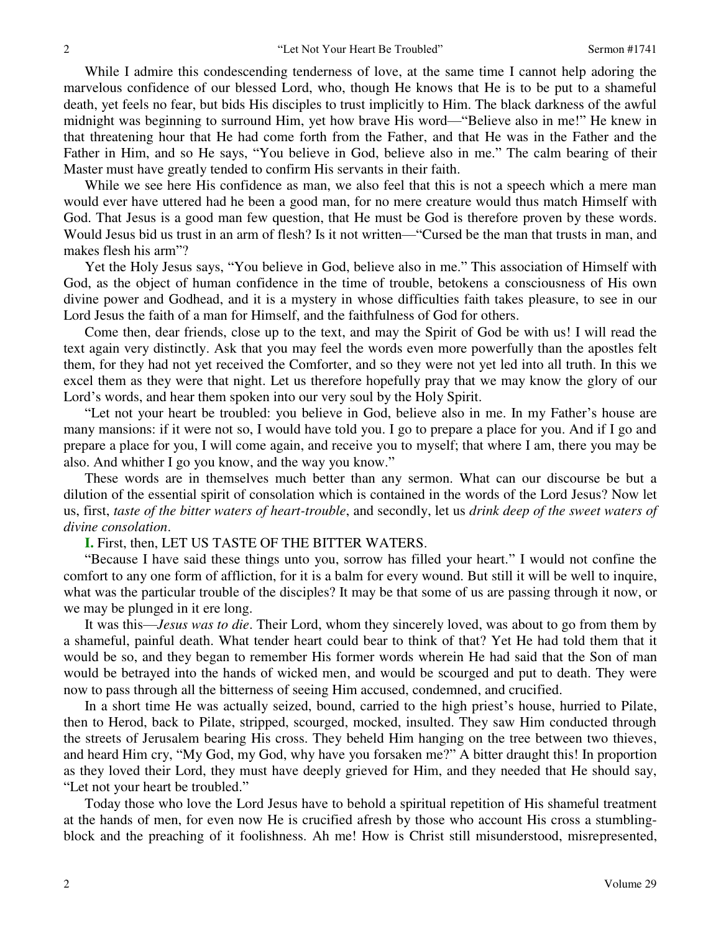While I admire this condescending tenderness of love, at the same time I cannot help adoring the marvelous confidence of our blessed Lord, who, though He knows that He is to be put to a shameful death, yet feels no fear, but bids His disciples to trust implicitly to Him. The black darkness of the awful midnight was beginning to surround Him, yet how brave His word—"Believe also in me!" He knew in that threatening hour that He had come forth from the Father, and that He was in the Father and the Father in Him, and so He says, "You believe in God, believe also in me." The calm bearing of their Master must have greatly tended to confirm His servants in their faith.

 While we see here His confidence as man, we also feel that this is not a speech which a mere man would ever have uttered had he been a good man, for no mere creature would thus match Himself with God. That Jesus is a good man few question, that He must be God is therefore proven by these words. Would Jesus bid us trust in an arm of flesh? Is it not written—"Cursed be the man that trusts in man, and makes flesh his arm"?

 Yet the Holy Jesus says, "You believe in God, believe also in me." This association of Himself with God, as the object of human confidence in the time of trouble, betokens a consciousness of His own divine power and Godhead, and it is a mystery in whose difficulties faith takes pleasure, to see in our Lord Jesus the faith of a man for Himself, and the faithfulness of God for others.

 Come then, dear friends, close up to the text, and may the Spirit of God be with us! I will read the text again very distinctly. Ask that you may feel the words even more powerfully than the apostles felt them, for they had not yet received the Comforter, and so they were not yet led into all truth. In this we excel them as they were that night. Let us therefore hopefully pray that we may know the glory of our Lord's words, and hear them spoken into our very soul by the Holy Spirit.

"Let not your heart be troubled: you believe in God, believe also in me. In my Father's house are many mansions: if it were not so, I would have told you. I go to prepare a place for you. And if I go and prepare a place for you, I will come again, and receive you to myself; that where I am, there you may be also. And whither I go you know, and the way you know."

 These words are in themselves much better than any sermon. What can our discourse be but a dilution of the essential spirit of consolation which is contained in the words of the Lord Jesus? Now let us, first, *taste of the bitter waters of heart-trouble*, and secondly, let us *drink deep of the sweet waters of divine consolation*.

**I.** First, then, LET US TASTE OF THE BITTER WATERS.

"Because I have said these things unto you, sorrow has filled your heart." I would not confine the comfort to any one form of affliction, for it is a balm for every wound. But still it will be well to inquire, what was the particular trouble of the disciples? It may be that some of us are passing through it now, or we may be plunged in it ere long.

 It was this—*Jesus was to die*. Their Lord, whom they sincerely loved, was about to go from them by a shameful, painful death. What tender heart could bear to think of that? Yet He had told them that it would be so, and they began to remember His former words wherein He had said that the Son of man would be betrayed into the hands of wicked men, and would be scourged and put to death. They were now to pass through all the bitterness of seeing Him accused, condemned, and crucified.

 In a short time He was actually seized, bound, carried to the high priest's house, hurried to Pilate, then to Herod, back to Pilate, stripped, scourged, mocked, insulted. They saw Him conducted through the streets of Jerusalem bearing His cross. They beheld Him hanging on the tree between two thieves, and heard Him cry, "My God, my God, why have you forsaken me?" A bitter draught this! In proportion as they loved their Lord, they must have deeply grieved for Him, and they needed that He should say, "Let not your heart be troubled."

 Today those who love the Lord Jesus have to behold a spiritual repetition of His shameful treatment at the hands of men, for even now He is crucified afresh by those who account His cross a stumblingblock and the preaching of it foolishness. Ah me! How is Christ still misunderstood, misrepresented,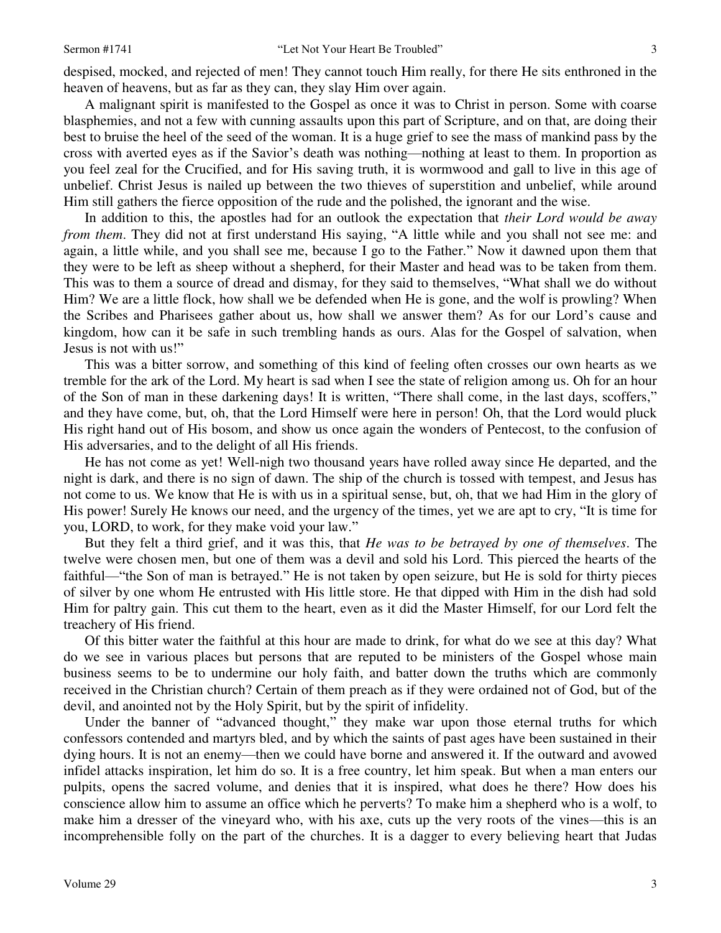A malignant spirit is manifested to the Gospel as once it was to Christ in person. Some with coarse blasphemies, and not a few with cunning assaults upon this part of Scripture, and on that, are doing their best to bruise the heel of the seed of the woman. It is a huge grief to see the mass of mankind pass by the cross with averted eyes as if the Savior's death was nothing—nothing at least to them. In proportion as you feel zeal for the Crucified, and for His saving truth, it is wormwood and gall to live in this age of unbelief. Christ Jesus is nailed up between the two thieves of superstition and unbelief, while around Him still gathers the fierce opposition of the rude and the polished, the ignorant and the wise.

 In addition to this, the apostles had for an outlook the expectation that *their Lord would be away from them*. They did not at first understand His saying, "A little while and you shall not see me: and again, a little while, and you shall see me, because I go to the Father." Now it dawned upon them that they were to be left as sheep without a shepherd, for their Master and head was to be taken from them. This was to them a source of dread and dismay, for they said to themselves, "What shall we do without Him? We are a little flock, how shall we be defended when He is gone, and the wolf is prowling? When the Scribes and Pharisees gather about us, how shall we answer them? As for our Lord's cause and kingdom, how can it be safe in such trembling hands as ours. Alas for the Gospel of salvation, when Jesus is not with us!"

 This was a bitter sorrow, and something of this kind of feeling often crosses our own hearts as we tremble for the ark of the Lord. My heart is sad when I see the state of religion among us. Oh for an hour of the Son of man in these darkening days! It is written, "There shall come, in the last days, scoffers," and they have come, but, oh, that the Lord Himself were here in person! Oh, that the Lord would pluck His right hand out of His bosom, and show us once again the wonders of Pentecost, to the confusion of His adversaries, and to the delight of all His friends.

 He has not come as yet! Well-nigh two thousand years have rolled away since He departed, and the night is dark, and there is no sign of dawn. The ship of the church is tossed with tempest, and Jesus has not come to us. We know that He is with us in a spiritual sense, but, oh, that we had Him in the glory of His power! Surely He knows our need, and the urgency of the times, yet we are apt to cry, "It is time for you, LORD, to work, for they make void your law."

 But they felt a third grief, and it was this, that *He was to be betrayed by one of themselves*. The twelve were chosen men, but one of them was a devil and sold his Lord. This pierced the hearts of the faithful—"the Son of man is betrayed." He is not taken by open seizure, but He is sold for thirty pieces of silver by one whom He entrusted with His little store. He that dipped with Him in the dish had sold Him for paltry gain. This cut them to the heart, even as it did the Master Himself, for our Lord felt the treachery of His friend.

 Of this bitter water the faithful at this hour are made to drink, for what do we see at this day? What do we see in various places but persons that are reputed to be ministers of the Gospel whose main business seems to be to undermine our holy faith, and batter down the truths which are commonly received in the Christian church? Certain of them preach as if they were ordained not of God, but of the devil, and anointed not by the Holy Spirit, but by the spirit of infidelity.

 Under the banner of "advanced thought," they make war upon those eternal truths for which confessors contended and martyrs bled, and by which the saints of past ages have been sustained in their dying hours. It is not an enemy—then we could have borne and answered it. If the outward and avowed infidel attacks inspiration, let him do so. It is a free country, let him speak. But when a man enters our pulpits, opens the sacred volume, and denies that it is inspired, what does he there? How does his conscience allow him to assume an office which he perverts? To make him a shepherd who is a wolf, to make him a dresser of the vineyard who, with his axe, cuts up the very roots of the vines—this is an incomprehensible folly on the part of the churches. It is a dagger to every believing heart that Judas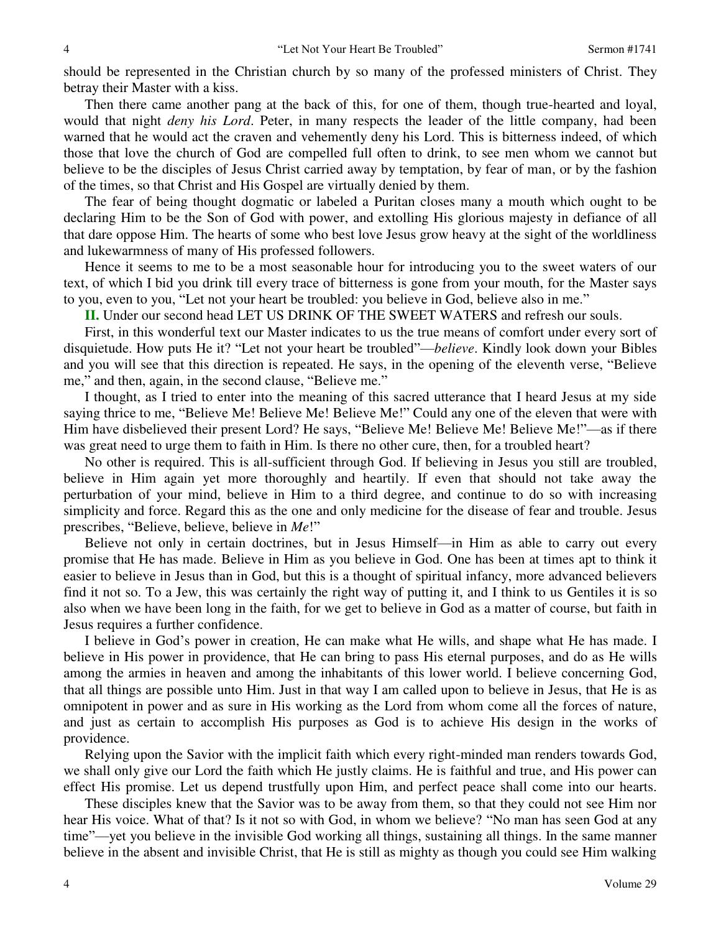should be represented in the Christian church by so many of the professed ministers of Christ. They betray their Master with a kiss.

 Then there came another pang at the back of this, for one of them, though true-hearted and loyal, would that night *deny his Lord*. Peter, in many respects the leader of the little company, had been warned that he would act the craven and vehemently deny his Lord. This is bitterness indeed, of which those that love the church of God are compelled full often to drink, to see men whom we cannot but believe to be the disciples of Jesus Christ carried away by temptation, by fear of man, or by the fashion of the times, so that Christ and His Gospel are virtually denied by them.

 The fear of being thought dogmatic or labeled a Puritan closes many a mouth which ought to be declaring Him to be the Son of God with power, and extolling His glorious majesty in defiance of all that dare oppose Him. The hearts of some who best love Jesus grow heavy at the sight of the worldliness and lukewarmness of many of His professed followers.

 Hence it seems to me to be a most seasonable hour for introducing you to the sweet waters of our text, of which I bid you drink till every trace of bitterness is gone from your mouth, for the Master says to you, even to you, "Let not your heart be troubled: you believe in God, believe also in me."

**II.** Under our second head LET US DRINK OF THE SWEET WATERS and refresh our souls.

 First, in this wonderful text our Master indicates to us the true means of comfort under every sort of disquietude. How puts He it? "Let not your heart be troubled"—*believe*. Kindly look down your Bibles and you will see that this direction is repeated. He says, in the opening of the eleventh verse, "Believe me," and then, again, in the second clause, "Believe me."

 I thought, as I tried to enter into the meaning of this sacred utterance that I heard Jesus at my side saying thrice to me, "Believe Me! Believe Me! Believe Me!" Could any one of the eleven that were with Him have disbelieved their present Lord? He says, "Believe Me! Believe Me! Believe Me!"—as if there was great need to urge them to faith in Him. Is there no other cure, then, for a troubled heart?

 No other is required. This is all-sufficient through God. If believing in Jesus you still are troubled, believe in Him again yet more thoroughly and heartily. If even that should not take away the perturbation of your mind, believe in Him to a third degree, and continue to do so with increasing simplicity and force. Regard this as the one and only medicine for the disease of fear and trouble. Jesus prescribes, "Believe, believe, believe in *Me*!"

 Believe not only in certain doctrines, but in Jesus Himself—in Him as able to carry out every promise that He has made. Believe in Him as you believe in God. One has been at times apt to think it easier to believe in Jesus than in God, but this is a thought of spiritual infancy, more advanced believers find it not so. To a Jew, this was certainly the right way of putting it, and I think to us Gentiles it is so also when we have been long in the faith, for we get to believe in God as a matter of course, but faith in Jesus requires a further confidence.

 I believe in God's power in creation, He can make what He wills, and shape what He has made. I believe in His power in providence, that He can bring to pass His eternal purposes, and do as He wills among the armies in heaven and among the inhabitants of this lower world. I believe concerning God, that all things are possible unto Him. Just in that way I am called upon to believe in Jesus, that He is as omnipotent in power and as sure in His working as the Lord from whom come all the forces of nature, and just as certain to accomplish His purposes as God is to achieve His design in the works of providence.

 Relying upon the Savior with the implicit faith which every right-minded man renders towards God, we shall only give our Lord the faith which He justly claims. He is faithful and true, and His power can effect His promise. Let us depend trustfully upon Him, and perfect peace shall come into our hearts.

 These disciples knew that the Savior was to be away from them, so that they could not see Him nor hear His voice. What of that? Is it not so with God, in whom we believe? "No man has seen God at any time"—yet you believe in the invisible God working all things, sustaining all things. In the same manner believe in the absent and invisible Christ, that He is still as mighty as though you could see Him walking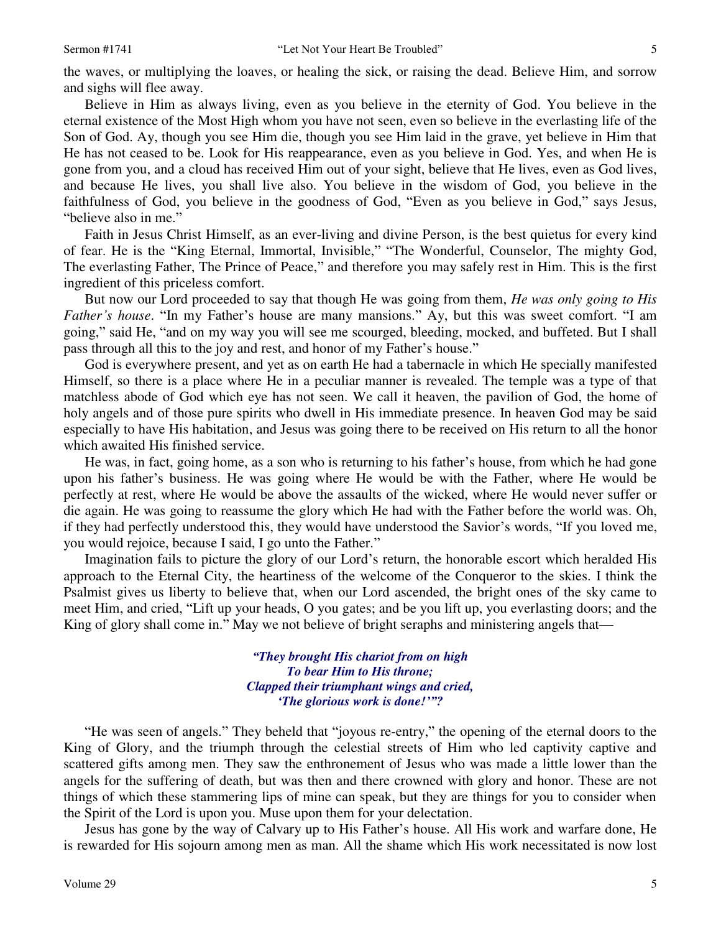the waves, or multiplying the loaves, or healing the sick, or raising the dead. Believe Him, and sorrow and sighs will flee away.

 Believe in Him as always living, even as you believe in the eternity of God. You believe in the eternal existence of the Most High whom you have not seen, even so believe in the everlasting life of the Son of God. Ay, though you see Him die, though you see Him laid in the grave, yet believe in Him that He has not ceased to be. Look for His reappearance, even as you believe in God. Yes, and when He is gone from you, and a cloud has received Him out of your sight, believe that He lives, even as God lives, and because He lives, you shall live also. You believe in the wisdom of God, you believe in the faithfulness of God, you believe in the goodness of God, "Even as you believe in God," says Jesus, "believe also in me."

 Faith in Jesus Christ Himself, as an ever-living and divine Person, is the best quietus for every kind of fear. He is the "King Eternal, Immortal, Invisible," "The Wonderful, Counselor, The mighty God, The everlasting Father, The Prince of Peace," and therefore you may safely rest in Him. This is the first ingredient of this priceless comfort.

 But now our Lord proceeded to say that though He was going from them, *He was only going to His Father's house*. "In my Father's house are many mansions." Ay, but this was sweet comfort. "I am going," said He, "and on my way you will see me scourged, bleeding, mocked, and buffeted. But I shall pass through all this to the joy and rest, and honor of my Father's house."

 God is everywhere present, and yet as on earth He had a tabernacle in which He specially manifested Himself, so there is a place where He in a peculiar manner is revealed. The temple was a type of that matchless abode of God which eye has not seen. We call it heaven, the pavilion of God, the home of holy angels and of those pure spirits who dwell in His immediate presence. In heaven God may be said especially to have His habitation, and Jesus was going there to be received on His return to all the honor which awaited His finished service.

 He was, in fact, going home, as a son who is returning to his father's house, from which he had gone upon his father's business. He was going where He would be with the Father, where He would be perfectly at rest, where He would be above the assaults of the wicked, where He would never suffer or die again. He was going to reassume the glory which He had with the Father before the world was. Oh, if they had perfectly understood this, they would have understood the Savior's words, "If you loved me, you would rejoice, because I said, I go unto the Father."

Imagination fails to picture the glory of our Lord's return, the honorable escort which heralded His approach to the Eternal City, the heartiness of the welcome of the Conqueror to the skies. I think the Psalmist gives us liberty to believe that, when our Lord ascended, the bright ones of the sky came to meet Him, and cried, "Lift up your heads, O you gates; and be you lift up, you everlasting doors; and the King of glory shall come in." May we not believe of bright seraphs and ministering angels that—

> *"They brought His chariot from on high To bear Him to His throne; Clapped their triumphant wings and cried, 'The glorious work is done!'"?*

"He was seen of angels." They beheld that "joyous re-entry," the opening of the eternal doors to the King of Glory, and the triumph through the celestial streets of Him who led captivity captive and scattered gifts among men. They saw the enthronement of Jesus who was made a little lower than the angels for the suffering of death, but was then and there crowned with glory and honor. These are not things of which these stammering lips of mine can speak, but they are things for you to consider when the Spirit of the Lord is upon you. Muse upon them for your delectation.

 Jesus has gone by the way of Calvary up to His Father's house. All His work and warfare done, He is rewarded for His sojourn among men as man. All the shame which His work necessitated is now lost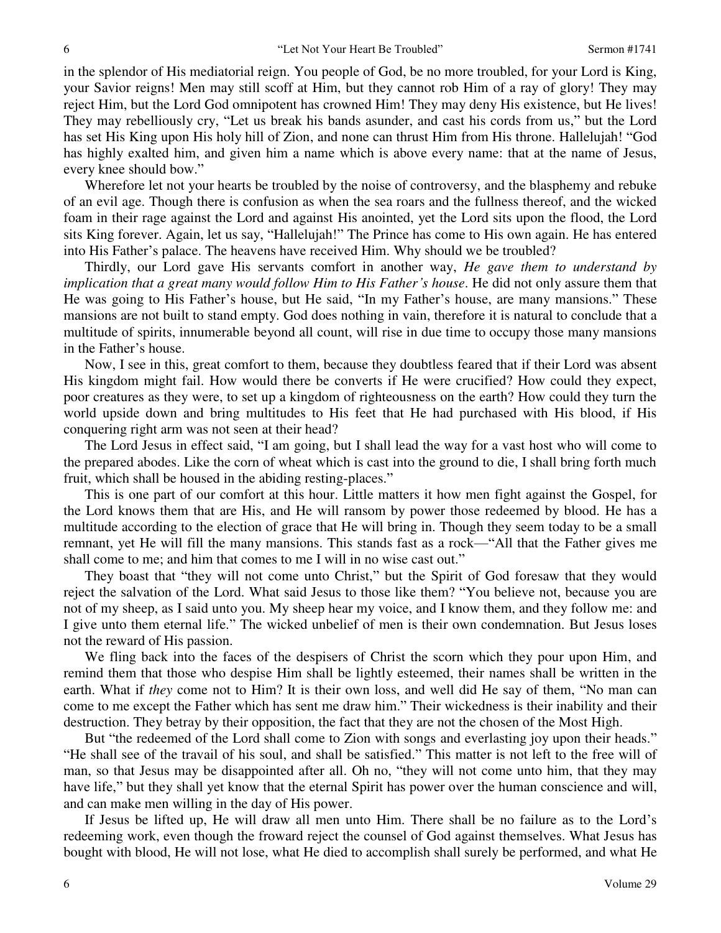in the splendor of His mediatorial reign. You people of God, be no more troubled, for your Lord is King, your Savior reigns! Men may still scoff at Him, but they cannot rob Him of a ray of glory! They may reject Him, but the Lord God omnipotent has crowned Him! They may deny His existence, but He lives! They may rebelliously cry, "Let us break his bands asunder, and cast his cords from us," but the Lord has set His King upon His holy hill of Zion, and none can thrust Him from His throne. Hallelujah! "God has highly exalted him, and given him a name which is above every name: that at the name of Jesus, every knee should bow."

 Wherefore let not your hearts be troubled by the noise of controversy, and the blasphemy and rebuke of an evil age. Though there is confusion as when the sea roars and the fullness thereof, and the wicked foam in their rage against the Lord and against His anointed, yet the Lord sits upon the flood, the Lord sits King forever. Again, let us say, "Hallelujah!" The Prince has come to His own again. He has entered into His Father's palace. The heavens have received Him. Why should we be troubled?

 Thirdly, our Lord gave His servants comfort in another way, *He gave them to understand by implication that a great many would follow Him to His Father's house*. He did not only assure them that He was going to His Father's house, but He said, "In my Father's house, are many mansions." These mansions are not built to stand empty. God does nothing in vain, therefore it is natural to conclude that a multitude of spirits, innumerable beyond all count, will rise in due time to occupy those many mansions in the Father's house.

 Now, I see in this, great comfort to them, because they doubtless feared that if their Lord was absent His kingdom might fail. How would there be converts if He were crucified? How could they expect, poor creatures as they were, to set up a kingdom of righteousness on the earth? How could they turn the world upside down and bring multitudes to His feet that He had purchased with His blood, if His conquering right arm was not seen at their head?

 The Lord Jesus in effect said, "I am going, but I shall lead the way for a vast host who will come to the prepared abodes. Like the corn of wheat which is cast into the ground to die, I shall bring forth much fruit, which shall be housed in the abiding resting-places."

 This is one part of our comfort at this hour. Little matters it how men fight against the Gospel, for the Lord knows them that are His, and He will ransom by power those redeemed by blood. He has a multitude according to the election of grace that He will bring in. Though they seem today to be a small remnant, yet He will fill the many mansions. This stands fast as a rock—"All that the Father gives me shall come to me; and him that comes to me I will in no wise cast out."

 They boast that "they will not come unto Christ," but the Spirit of God foresaw that they would reject the salvation of the Lord. What said Jesus to those like them? "You believe not, because you are not of my sheep, as I said unto you. My sheep hear my voice, and I know them, and they follow me: and I give unto them eternal life." The wicked unbelief of men is their own condemnation. But Jesus loses not the reward of His passion.

 We fling back into the faces of the despisers of Christ the scorn which they pour upon Him, and remind them that those who despise Him shall be lightly esteemed, their names shall be written in the earth. What if *they* come not to Him? It is their own loss, and well did He say of them, "No man can come to me except the Father which has sent me draw him." Their wickedness is their inability and their destruction. They betray by their opposition, the fact that they are not the chosen of the Most High.

But "the redeemed of the Lord shall come to Zion with songs and everlasting joy upon their heads." "He shall see of the travail of his soul, and shall be satisfied." This matter is not left to the free will of man, so that Jesus may be disappointed after all. Oh no, "they will not come unto him, that they may have life," but they shall yet know that the eternal Spirit has power over the human conscience and will, and can make men willing in the day of His power.

 If Jesus be lifted up, He will draw all men unto Him. There shall be no failure as to the Lord's redeeming work, even though the froward reject the counsel of God against themselves. What Jesus has bought with blood, He will not lose, what He died to accomplish shall surely be performed, and what He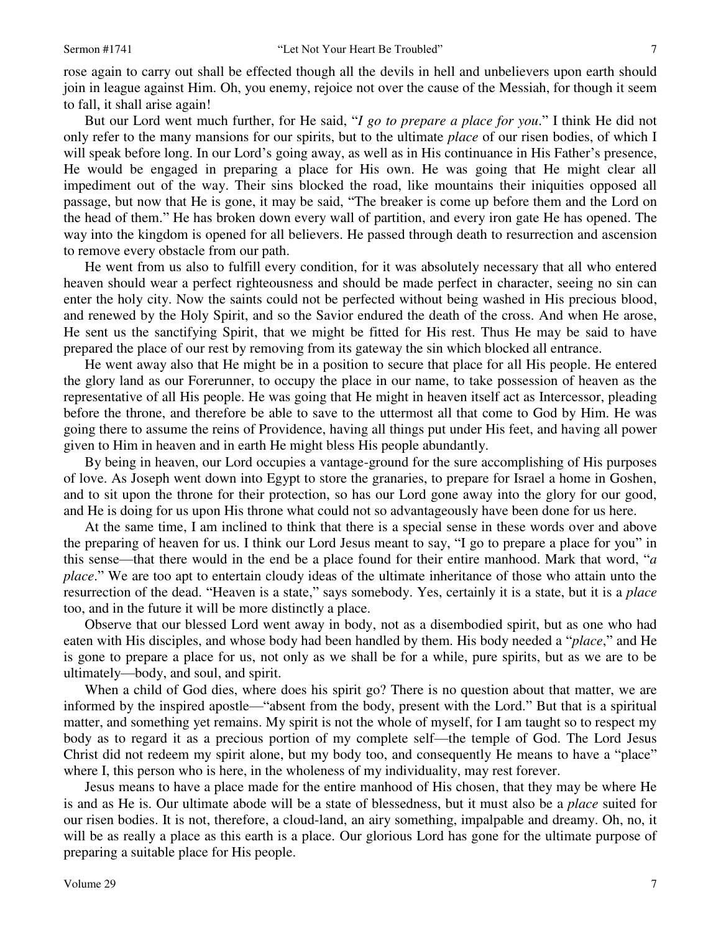rose again to carry out shall be effected though all the devils in hell and unbelievers upon earth should join in league against Him. Oh, you enemy, rejoice not over the cause of the Messiah, for though it seem to fall, it shall arise again!

 But our Lord went much further, for He said, "*I go to prepare a place for you*." I think He did not only refer to the many mansions for our spirits, but to the ultimate *place* of our risen bodies, of which I will speak before long. In our Lord's going away, as well as in His continuance in His Father's presence, He would be engaged in preparing a place for His own. He was going that He might clear all impediment out of the way. Their sins blocked the road, like mountains their iniquities opposed all passage, but now that He is gone, it may be said, "The breaker is come up before them and the Lord on the head of them." He has broken down every wall of partition, and every iron gate He has opened. The way into the kingdom is opened for all believers. He passed through death to resurrection and ascension to remove every obstacle from our path.

 He went from us also to fulfill every condition, for it was absolutely necessary that all who entered heaven should wear a perfect righteousness and should be made perfect in character, seeing no sin can enter the holy city. Now the saints could not be perfected without being washed in His precious blood, and renewed by the Holy Spirit, and so the Savior endured the death of the cross. And when He arose, He sent us the sanctifying Spirit, that we might be fitted for His rest. Thus He may be said to have prepared the place of our rest by removing from its gateway the sin which blocked all entrance.

 He went away also that He might be in a position to secure that place for all His people. He entered the glory land as our Forerunner, to occupy the place in our name, to take possession of heaven as the representative of all His people. He was going that He might in heaven itself act as Intercessor, pleading before the throne, and therefore be able to save to the uttermost all that come to God by Him. He was going there to assume the reins of Providence, having all things put under His feet, and having all power given to Him in heaven and in earth He might bless His people abundantly.

 By being in heaven, our Lord occupies a vantage-ground for the sure accomplishing of His purposes of love. As Joseph went down into Egypt to store the granaries, to prepare for Israel a home in Goshen, and to sit upon the throne for their protection, so has our Lord gone away into the glory for our good, and He is doing for us upon His throne what could not so advantageously have been done for us here.

 At the same time, I am inclined to think that there is a special sense in these words over and above the preparing of heaven for us. I think our Lord Jesus meant to say, "I go to prepare a place for you" in this sense—that there would in the end be a place found for their entire manhood. Mark that word, "*a place*." We are too apt to entertain cloudy ideas of the ultimate inheritance of those who attain unto the resurrection of the dead. "Heaven is a state," says somebody. Yes, certainly it is a state, but it is a *place* too, and in the future it will be more distinctly a place.

 Observe that our blessed Lord went away in body, not as a disembodied spirit, but as one who had eaten with His disciples, and whose body had been handled by them. His body needed a "*place*," and He is gone to prepare a place for us, not only as we shall be for a while, pure spirits, but as we are to be ultimately—body, and soul, and spirit.

When a child of God dies, where does his spirit go? There is no question about that matter, we are informed by the inspired apostle—"absent from the body, present with the Lord." But that is a spiritual matter, and something yet remains. My spirit is not the whole of myself, for I am taught so to respect my body as to regard it as a precious portion of my complete self—the temple of God. The Lord Jesus Christ did not redeem my spirit alone, but my body too, and consequently He means to have a "place" where I, this person who is here, in the wholeness of my individuality, may rest forever.

 Jesus means to have a place made for the entire manhood of His chosen, that they may be where He is and as He is. Our ultimate abode will be a state of blessedness, but it must also be a *place* suited for our risen bodies. It is not, therefore, a cloud-land, an airy something, impalpable and dreamy. Oh, no, it will be as really a place as this earth is a place. Our glorious Lord has gone for the ultimate purpose of preparing a suitable place for His people.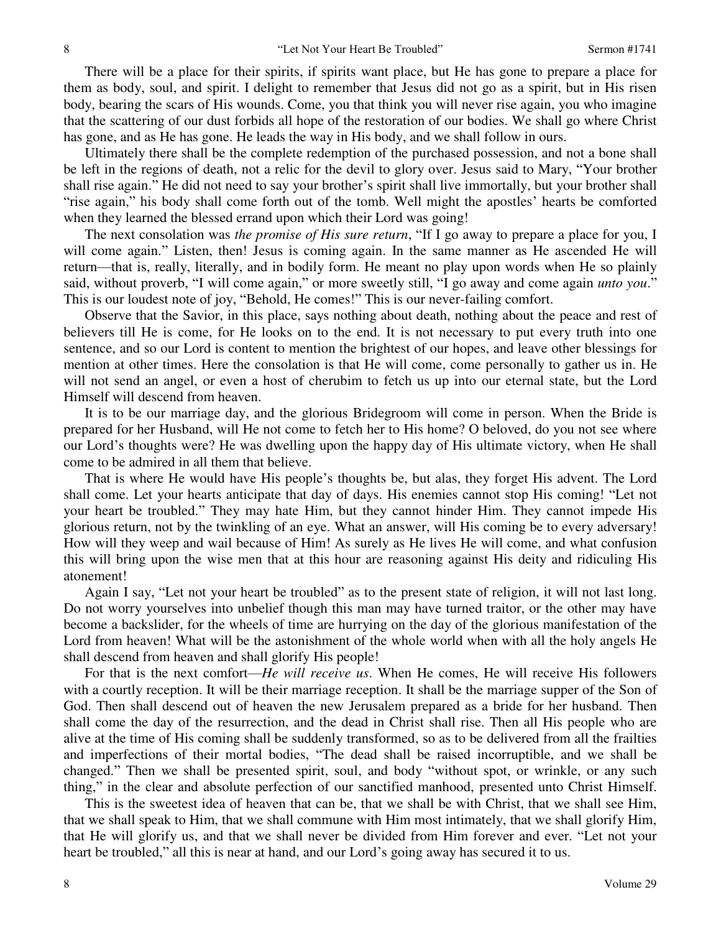There will be a place for their spirits, if spirits want place, but He has gone to prepare a place for them as body, soul, and spirit. I delight to remember that Jesus did not go as a spirit, but in His risen body, bearing the scars of His wounds. Come, you that think you will never rise again, you who imagine that the scattering of our dust forbids all hope of the restoration of our bodies. We shall go where Christ has gone, and as He has gone. He leads the way in His body, and we shall follow in ours.

 Ultimately there shall be the complete redemption of the purchased possession, and not a bone shall be left in the regions of death, not a relic for the devil to glory over. Jesus said to Mary, "Your brother shall rise again." He did not need to say your brother's spirit shall live immortally, but your brother shall "rise again," his body shall come forth out of the tomb. Well might the apostles' hearts be comforted when they learned the blessed errand upon which their Lord was going!

 The next consolation was *the promise of His sure return*, "If I go away to prepare a place for you, I will come again." Listen, then! Jesus is coming again. In the same manner as He ascended He will return—that is, really, literally, and in bodily form. He meant no play upon words when He so plainly said, without proverb, "I will come again," or more sweetly still, "I go away and come again *unto you*." This is our loudest note of joy, "Behold, He comes!" This is our never-failing comfort.

 Observe that the Savior, in this place, says nothing about death, nothing about the peace and rest of believers till He is come, for He looks on to the end. It is not necessary to put every truth into one sentence, and so our Lord is content to mention the brightest of our hopes, and leave other blessings for mention at other times. Here the consolation is that He will come, come personally to gather us in. He will not send an angel, or even a host of cherubim to fetch us up into our eternal state, but the Lord Himself will descend from heaven.

 It is to be our marriage day, and the glorious Bridegroom will come in person. When the Bride is prepared for her Husband, will He not come to fetch her to His home? O beloved, do you not see where our Lord's thoughts were? He was dwelling upon the happy day of His ultimate victory, when He shall come to be admired in all them that believe.

 That is where He would have His people's thoughts be, but alas, they forget His advent. The Lord shall come. Let your hearts anticipate that day of days. His enemies cannot stop His coming! "Let not your heart be troubled." They may hate Him, but they cannot hinder Him. They cannot impede His glorious return, not by the twinkling of an eye. What an answer, will His coming be to every adversary! How will they weep and wail because of Him! As surely as He lives He will come, and what confusion this will bring upon the wise men that at this hour are reasoning against His deity and ridiculing His atonement!

 Again I say, "Let not your heart be troubled" as to the present state of religion, it will not last long. Do not worry yourselves into unbelief though this man may have turned traitor, or the other may have become a backslider, for the wheels of time are hurrying on the day of the glorious manifestation of the Lord from heaven! What will be the astonishment of the whole world when with all the holy angels He shall descend from heaven and shall glorify His people!

 For that is the next comfort—*He will receive us*. When He comes, He will receive His followers with a courtly reception. It will be their marriage reception. It shall be the marriage supper of the Son of God. Then shall descend out of heaven the new Jerusalem prepared as a bride for her husband. Then shall come the day of the resurrection, and the dead in Christ shall rise. Then all His people who are alive at the time of His coming shall be suddenly transformed, so as to be delivered from all the frailties and imperfections of their mortal bodies, "The dead shall be raised incorruptible, and we shall be changed." Then we shall be presented spirit, soul, and body "without spot, or wrinkle, or any such thing," in the clear and absolute perfection of our sanctified manhood, presented unto Christ Himself.

 This is the sweetest idea of heaven that can be, that we shall be with Christ, that we shall see Him, that we shall speak to Him, that we shall commune with Him most intimately, that we shall glorify Him, that He will glorify us, and that we shall never be divided from Him forever and ever. "Let not your heart be troubled," all this is near at hand, and our Lord's going away has secured it to us.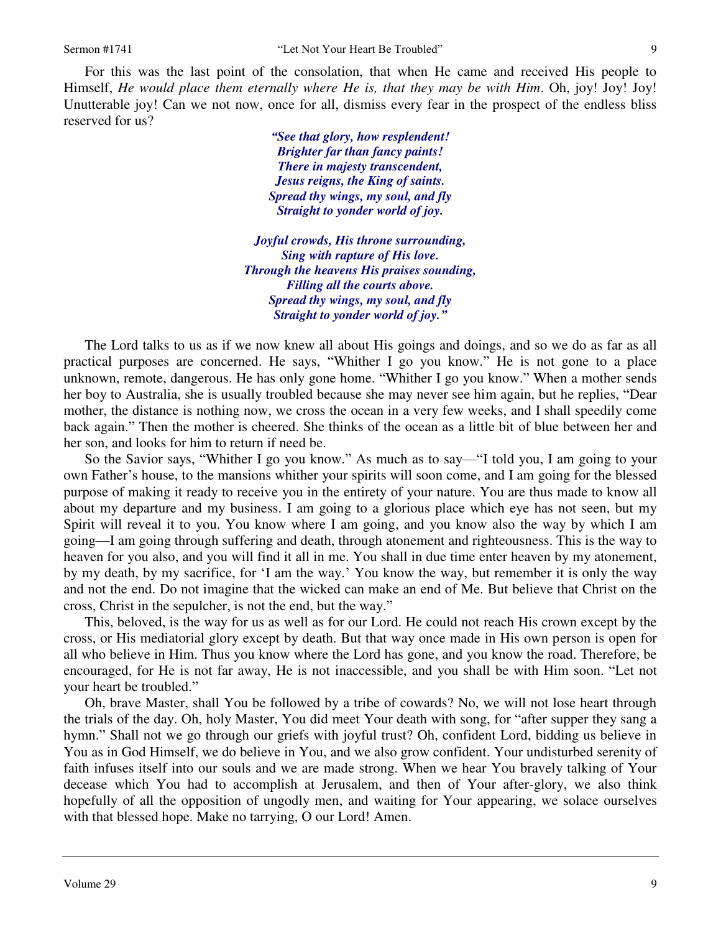For this was the last point of the consolation, that when He came and received His people to Himself, *He would place them eternally where He is, that they may be with Him*. Oh, joy! Joy! Joy! Unutterable joy! Can we not now, once for all, dismiss every fear in the prospect of the endless bliss reserved for us?

> *"See that glory, how resplendent! Brighter far than fancy paints! There in majesty transcendent, Jesus reigns, the King of saints. Spread thy wings, my soul, and fly Straight to yonder world of joy.*

*Joyful crowds, His throne surrounding, Sing with rapture of His love. Through the heavens His praises sounding, Filling all the courts above. Spread thy wings, my soul, and fly Straight to yonder world of joy."*

 The Lord talks to us as if we now knew all about His goings and doings, and so we do as far as all practical purposes are concerned. He says, "Whither I go you know." He is not gone to a place unknown, remote, dangerous. He has only gone home. "Whither I go you know." When a mother sends her boy to Australia, she is usually troubled because she may never see him again, but he replies, "Dear mother, the distance is nothing now, we cross the ocean in a very few weeks, and I shall speedily come back again." Then the mother is cheered. She thinks of the ocean as a little bit of blue between her and her son, and looks for him to return if need be.

 So the Savior says, "Whither I go you know." As much as to say—"I told you, I am going to your own Father's house, to the mansions whither your spirits will soon come, and I am going for the blessed purpose of making it ready to receive you in the entirety of your nature. You are thus made to know all about my departure and my business. I am going to a glorious place which eye has not seen, but my Spirit will reveal it to you. You know where I am going, and you know also the way by which I am going—I am going through suffering and death, through atonement and righteousness. This is the way to heaven for you also, and you will find it all in me. You shall in due time enter heaven by my atonement, by my death, by my sacrifice, for 'I am the way.' You know the way, but remember it is only the way and not the end. Do not imagine that the wicked can make an end of Me. But believe that Christ on the cross, Christ in the sepulcher, is not the end, but the way."

 This, beloved, is the way for us as well as for our Lord. He could not reach His crown except by the cross, or His mediatorial glory except by death. But that way once made in His own person is open for all who believe in Him. Thus you know where the Lord has gone, and you know the road. Therefore, be encouraged, for He is not far away, He is not inaccessible, and you shall be with Him soon. "Let not your heart be troubled."

 Oh, brave Master, shall You be followed by a tribe of cowards? No, we will not lose heart through the trials of the day. Oh, holy Master, You did meet Your death with song, for "after supper they sang a hymn." Shall not we go through our griefs with joyful trust? Oh, confident Lord, bidding us believe in You as in God Himself, we do believe in You, and we also grow confident. Your undisturbed serenity of faith infuses itself into our souls and we are made strong. When we hear You bravely talking of Your decease which You had to accomplish at Jerusalem, and then of Your after-glory, we also think hopefully of all the opposition of ungodly men, and waiting for Your appearing, we solace ourselves with that blessed hope. Make no tarrying, O our Lord! Amen.